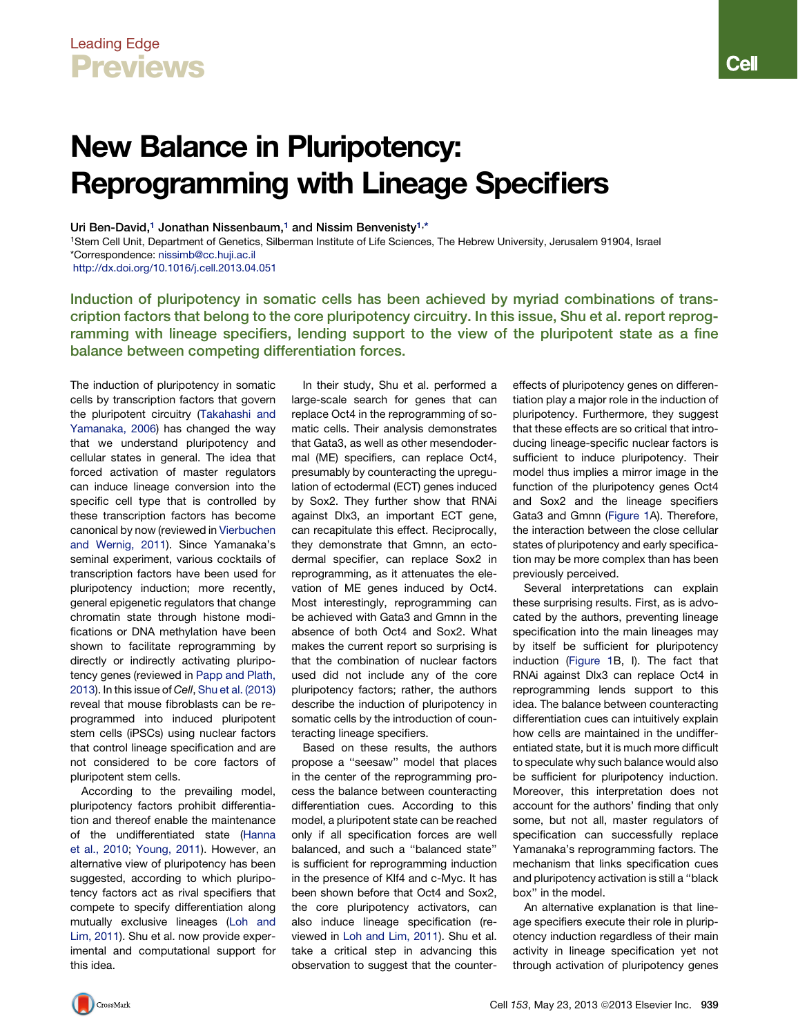## Leading Edge Previews

## New Balance in Pluripotency: Reprogramming with Lineage Specifiers

Uri Ben-David,<sup>1</sup> Jonathan Nissenbaum,<sup>1</sup> and Nissim Benvenisty<sup>1,\*</sup>

1Stem Cell Unit, Department of Genetics, Silberman Institute of Life Sciences, The Hebrew University, Jerusalem 91904, Israel \*Correspondence: [nissimb@cc.huji.ac.il](mailto:nissimb@cc.huji.ac.il)

<http://dx.doi.org/10.1016/j.cell.2013.04.051>

Induction of pluripotency in somatic cells has been achieved by myriad combinations of transcription factors that belong to the core pluripotency circuitry. In this issue, Shu et al. report reprogramming with lineage specifiers, lending support to the view of the pluripotent state as a fine balance between competing differentiation forces.

The induction of pluripotency in somatic cells by transcription factors that govern the pluripotent circuitry [\(Takahashi and](#page-1-0) [Yamanaka, 2006\)](#page-1-0) has changed the way that we understand pluripotency and cellular states in general. The idea that forced activation of master regulators can induce lineage conversion into the specific cell type that is controlled by these transcription factors has become canonical by now (reviewed in [Vierbuchen](#page-1-0) [and Wernig, 2011\)](#page-1-0). Since Yamanaka's seminal experiment, various cocktails of transcription factors have been used for pluripotency induction; more recently, general epigenetic regulators that change chromatin state through histone modifications or DNA methylation have been shown to facilitate reprogramming by directly or indirectly activating pluripotency genes (reviewed in [Papp and Plath,](#page-1-0) [2013\)](#page-1-0). In this issue of *Cell*, [Shu et al. \(2013\)](#page-1-0) reveal that mouse fibroblasts can be reprogrammed into induced pluripotent stem cells (iPSCs) using nuclear factors that control lineage specification and are not considered to be core factors of pluripotent stem cells.

According to the prevailing model, pluripotency factors prohibit differentiation and thereof enable the maintenance of the undifferentiated state ([Hanna](#page-1-0) [et al., 2010](#page-1-0); [Young, 2011\)](#page-1-0). However, an alternative view of pluripotency has been suggested, according to which pluripotency factors act as rival specifiers that compete to specify differentiation along mutually exclusive lineages [\(Loh and](#page-1-0) [Lim, 2011](#page-1-0)). Shu et al. now provide experimental and computational support for this idea.

In their study, Shu et al. performed a large-scale search for genes that can replace Oct4 in the reprogramming of somatic cells. Their analysis demonstrates that Gata3, as well as other mesendodermal (ME) specifiers, can replace Oct4, presumably by counteracting the upregulation of ectodermal (ECT) genes induced by Sox2. They further show that RNAi against Dlx3, an important ECT gene, can recapitulate this effect. Reciprocally, they demonstrate that Gmnn, an ectodermal specifier, can replace Sox2 in reprogramming, as it attenuates the elevation of ME genes induced by Oct4. Most interestingly, reprogramming can be achieved with Gata3 and Gmnn in the absence of both Oct4 and Sox2. What makes the current report so surprising is that the combination of nuclear factors used did not include any of the core pluripotency factors; rather, the authors describe the induction of pluripotency in somatic cells by the introduction of counteracting lineage specifiers.

Based on these results, the authors propose a ''seesaw'' model that places in the center of the reprogramming process the balance between counteracting differentiation cues. According to this model, a pluripotent state can be reached only if all specification forces are well balanced, and such a ''balanced state'' is sufficient for reprogramming induction in the presence of Klf4 and c-Myc. It has been shown before that Oct4 and Sox2, the core pluripotency activators, can also induce lineage specification (reviewed in [Loh and Lim, 2011\)](#page-1-0). Shu et al. take a critical step in advancing this observation to suggest that the countereffects of pluripotency genes on differentiation play a major role in the induction of pluripotency. Furthermore, they suggest that these effects are so critical that introducing lineage-specific nuclear factors is sufficient to induce pluripotency. Their model thus implies a mirror image in the function of the pluripotency genes Oct4 and Sox2 and the lineage specifiers Gata3 and Gmnn ([Figure 1](#page-1-0)A). Therefore, the interaction between the close cellular states of pluripotency and early specification may be more complex than has been previously perceived.

Several interpretations can explain these surprising results. First, as is advocated by the authors, preventing lineage specification into the main lineages may by itself be sufficient for pluripotency induction [\(Figure 1B](#page-1-0), I). The fact that RNAi against Dlx3 can replace Oct4 in reprogramming lends support to this idea. The balance between counteracting differentiation cues can intuitively explain how cells are maintained in the undifferentiated state, but it is much more difficult to speculate why such balance would also be sufficient for pluripotency induction. Moreover, this interpretation does not account for the authors' finding that only some, but not all, master regulators of specification can successfully replace Yamanaka's reprogramming factors. The mechanism that links specification cues and pluripotency activation is still a ''black box'' in the model.

An alternative explanation is that lineage specifiers execute their role in pluripotency induction regardless of their main activity in lineage specification yet not through activation of pluripotency genes